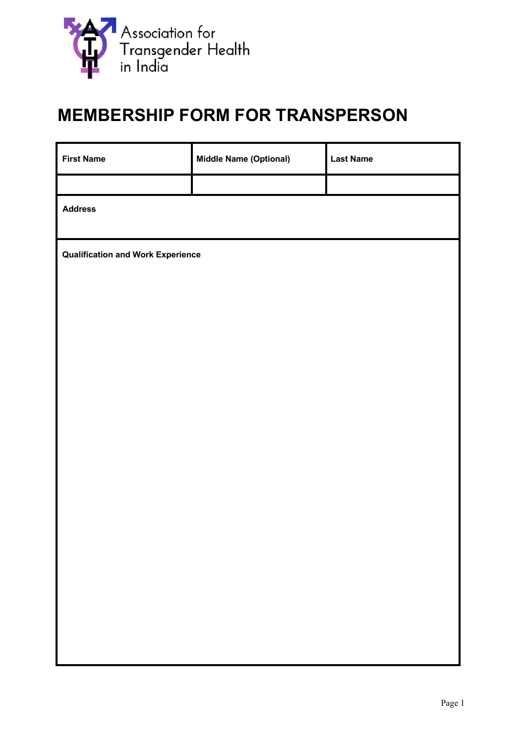

## **MEMBERSHIP FORM FOR TRANSPERSON**

| <b>First Name</b>                        | <b>Middle Name (Optional)</b> | <b>Last Name</b> |  |
|------------------------------------------|-------------------------------|------------------|--|
|                                          |                               |                  |  |
| <b>Address</b>                           |                               |                  |  |
| <b>Qualification and Work Experience</b> |                               |                  |  |
|                                          |                               |                  |  |
|                                          |                               |                  |  |
|                                          |                               |                  |  |
|                                          |                               |                  |  |
|                                          |                               |                  |  |
|                                          |                               |                  |  |
|                                          |                               |                  |  |
|                                          |                               |                  |  |
|                                          |                               |                  |  |
|                                          |                               |                  |  |
|                                          |                               |                  |  |
|                                          |                               |                  |  |
|                                          |                               |                  |  |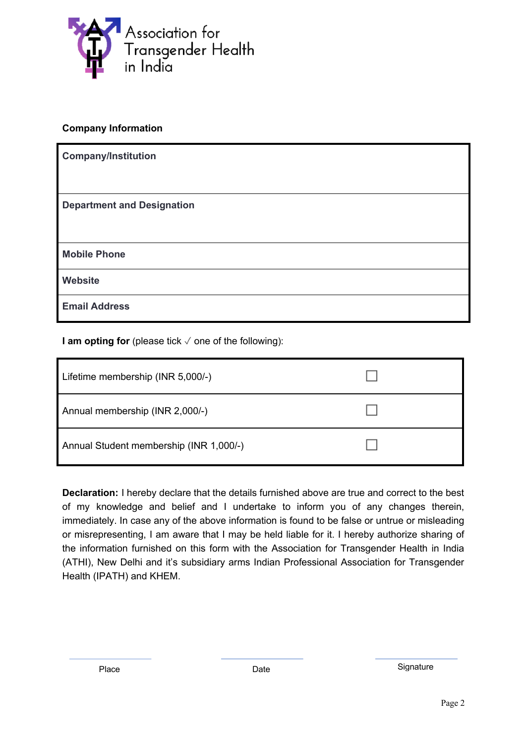

## **Company Information**

| <b>Company/Institution</b>        |
|-----------------------------------|
|                                   |
| <b>Department and Designation</b> |
|                                   |
| <b>Mobile Phone</b>               |
| <b>Website</b>                    |
| <b>Email Address</b>              |

**I am opting for** (please tick √ one of the following):

| Lifetime membership (INR 5,000/-)       |  |
|-----------------------------------------|--|
| Annual membership (INR 2,000/-)         |  |
| Annual Student membership (INR 1,000/-) |  |

**Declaration:** I hereby declare that the details furnished above are true and correct to the best of my knowledge and belief and I undertake to inform you of any changes therein, immediately. In case any of the above information is found to be false or untrue or misleading or misrepresenting, I am aware that I may be held liable for it. I hereby authorize sharing of the information furnished on this form with the Association for Transgender Health in India (ATHI), New Delhi and it's subsidiary arms Indian Professional Association for Transgender Health (IPATH) and KHEM.